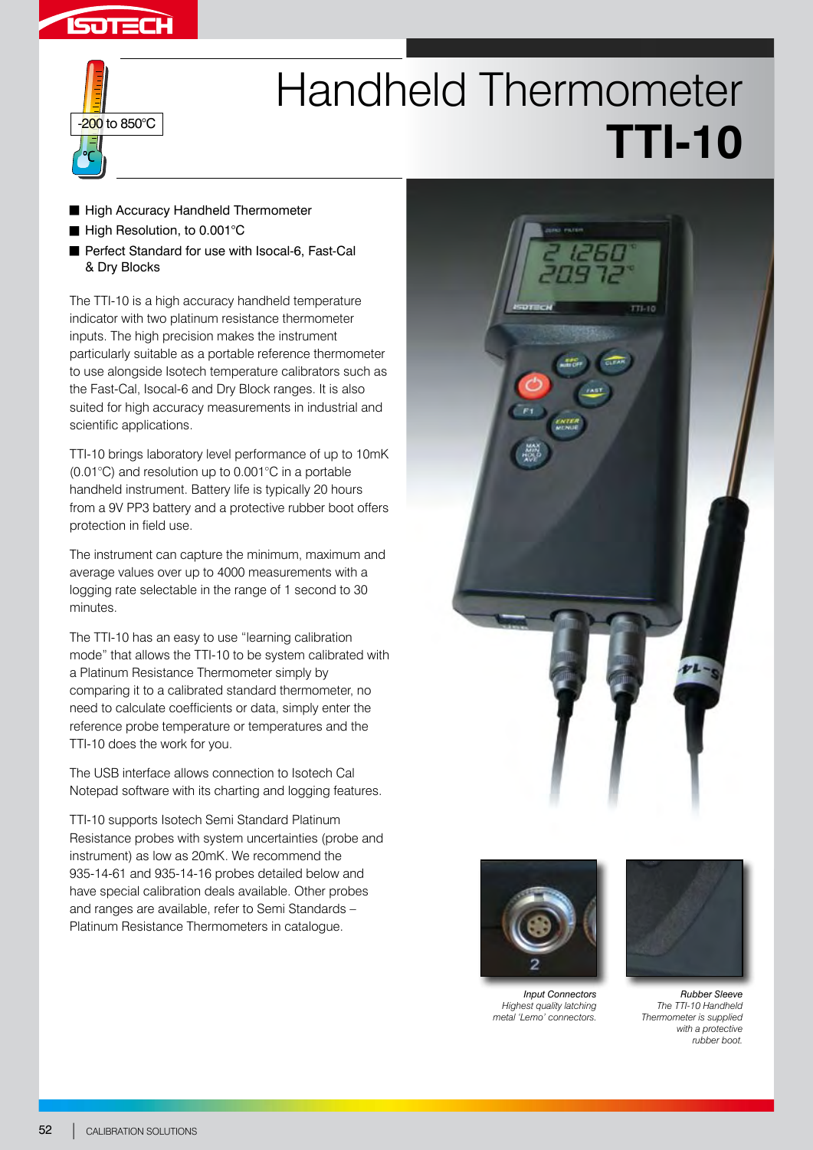



## Handheld Thermometer **TTI-10**

- High Accuracy Handheld Thermometer
- High Resolution, to 0.001°C
- Perfect Standard for use with Isocal-6, Fast-Cal & Dry Blocks

The TTI-10 is a high accuracy handheld temperature indicator with two platinum resistance thermometer inputs. The high precision makes the instrument particularly suitable as a portable reference thermometer to use alongside Isotech temperature calibrators such as the Fast-Cal, Isocal-6 and Dry Block ranges. It is also suited for high accuracy measurements in industrial and scientific applications.

TTI-10 brings laboratory level performance of up to 10mK (0.01°C) and resolution up to 0.001°C in a portable handheld instrument. Battery life is typically 20 hours from a 9V PP3 battery and a protective rubber boot offers protection in field use.

The instrument can capture the minimum, maximum and average values over up to 4000 measurements with a logging rate selectable in the range of 1 second to 30 minutes.

The TTI-10 has an easy to use "learning calibration mode" that allows the TTI-10 to be system calibrated with a Platinum Resistance Thermometer simply by comparing it to a calibrated standard thermometer, no need to calculate coefficients or data, simply enter the reference probe temperature or temperatures and the TTI-10 does the work for you.

The USB interface allows connection to Isotech Cal Notepad software with its charting and logging features.

TTI-10 supports Isotech Semi Standard Platinum Resistance probes with system uncertainties (probe and instrument) as low as 20mK. We recommend the 935-14-61 and 935-14-16 probes detailed below and have special calibration deals available. Other probes and ranges are available, refer to Semi Standards – Platinum Resistance Thermometers in catalogue.





*Input Connectors Highest quality latching metal 'Lemo' connectors.*



*Rubber Sleeve The TTI-10 Handheld Thermometer is supplied with a protective rubber boot.*